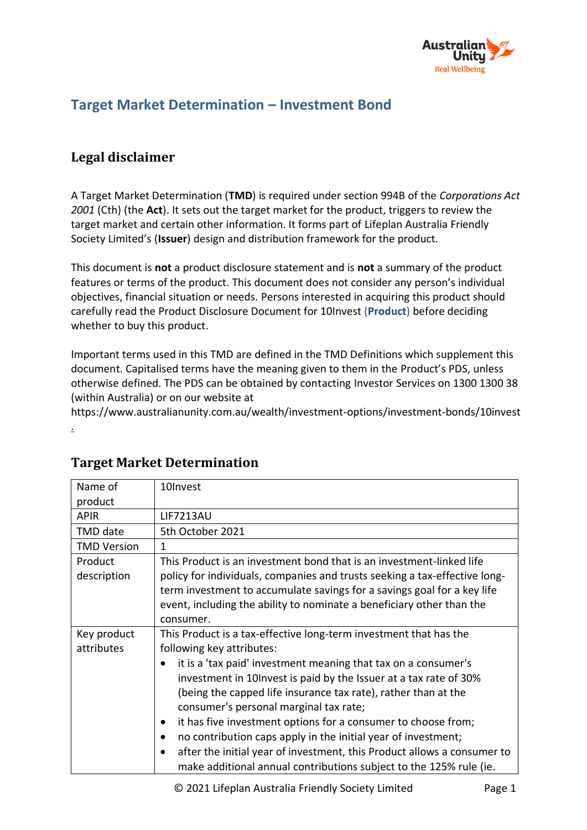

# **Target Market Determination – Investment Bond**

# **Legal disclaimer**

A Target Market Determination (**TMD**) is required under section 994B of the *Corporations Act 2001* (Cth) (the **Act**). It sets out the target market for the product, triggers to review the target market and certain other information. It forms part of Lifeplan Australia Friendly Society Limited's (**Issuer**) design and distribution framework for the product.

This document is **not** a product disclosure statement and is **not** a summary of the product features or terms of the product. This document does not consider any person's individual objectives, financial situation or needs. Persons interested in acquiring this product should carefully read the Product Disclosure Document for 10Invest (**Product**) before deciding whether to buy this product.

Important terms used in this TMD are defined in the TMD Definitions which supplement this document. Capitalised terms have the meaning given to them in the Product's PDS, unless otherwise defined. The PDS can be obtained by contacting Investor Services on 1300 1300 38 (within Australia) or on our website at

https://www.australianunity.com.au/wealth/investment-options/investment-bonds/10invest

| Name of                   | 10Invest                                                                                                                                                                                                                                                                                                                                                                                                                                                                                                                                                                                                                                   |
|---------------------------|--------------------------------------------------------------------------------------------------------------------------------------------------------------------------------------------------------------------------------------------------------------------------------------------------------------------------------------------------------------------------------------------------------------------------------------------------------------------------------------------------------------------------------------------------------------------------------------------------------------------------------------------|
| product                   |                                                                                                                                                                                                                                                                                                                                                                                                                                                                                                                                                                                                                                            |
| <b>APIR</b>               | <b>LIF7213AU</b>                                                                                                                                                                                                                                                                                                                                                                                                                                                                                                                                                                                                                           |
| TMD date                  | 5th October 2021                                                                                                                                                                                                                                                                                                                                                                                                                                                                                                                                                                                                                           |
| <b>TMD Version</b>        | $\mathbf{1}$                                                                                                                                                                                                                                                                                                                                                                                                                                                                                                                                                                                                                               |
| Product<br>description    | This Product is an investment bond that is an investment-linked life<br>policy for individuals, companies and trusts seeking a tax-effective long-<br>term investment to accumulate savings for a savings goal for a key life<br>event, including the ability to nominate a beneficiary other than the<br>consumer.                                                                                                                                                                                                                                                                                                                        |
| Key product<br>attributes | This Product is a tax-effective long-term investment that has the<br>following key attributes:<br>it is a 'tax paid' investment meaning that tax on a consumer's<br>investment in 10 lnvest is paid by the Issuer at a tax rate of 30%<br>(being the capped life insurance tax rate), rather than at the<br>consumer's personal marginal tax rate;<br>it has five investment options for a consumer to choose from;<br>٠<br>no contribution caps apply in the initial year of investment;<br>after the initial year of investment, this Product allows a consumer to<br>make additional annual contributions subject to the 125% rule (ie. |

# **Target Market Determination**

[.](https://www.australianunity.com.au/wealth/investment-options/international-shares/talaria-global-equity-fund-hedged)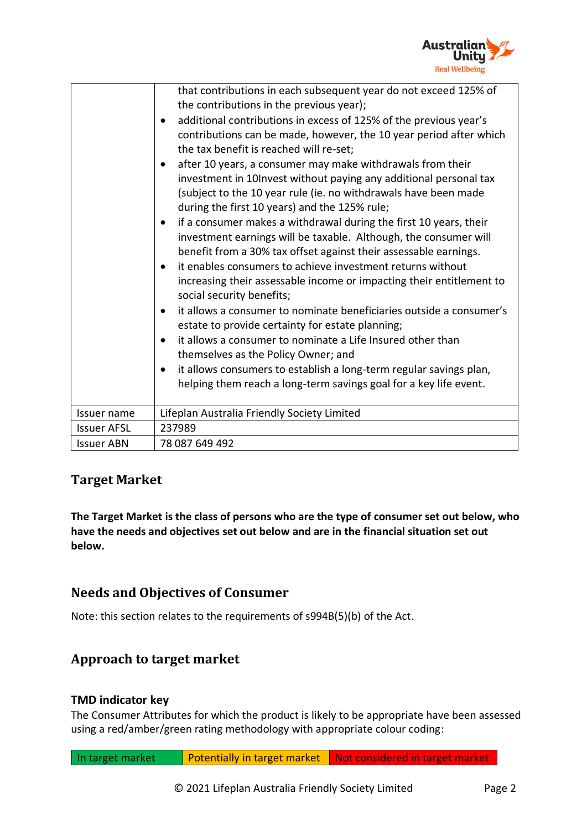

|                    | that contributions in each subsequent year do not exceed 125% of<br>the contributions in the previous year);<br>additional contributions in excess of 125% of the previous year's<br>$\bullet$<br>contributions can be made, however, the 10 year period after which<br>the tax benefit is reached will re-set;<br>after 10 years, a consumer may make withdrawals from their<br>$\bullet$<br>investment in 10Invest without paying any additional personal tax<br>(subject to the 10 year rule (ie. no withdrawals have been made<br>during the first 10 years) and the 125% rule;<br>if a consumer makes a withdrawal during the first 10 years, their<br>$\bullet$<br>investment earnings will be taxable. Although, the consumer will<br>benefit from a 30% tax offset against their assessable earnings.<br>it enables consumers to achieve investment returns without<br>$\bullet$<br>increasing their assessable income or impacting their entitlement to<br>social security benefits;<br>it allows a consumer to nominate beneficiaries outside a consumer's<br>$\bullet$<br>estate to provide certainty for estate planning;<br>it allows a consumer to nominate a Life Insured other than<br>$\bullet$<br>themselves as the Policy Owner; and<br>it allows consumers to establish a long-term regular savings plan,<br>٠<br>helping them reach a long-term savings goal for a key life event. |
|--------------------|---------------------------------------------------------------------------------------------------------------------------------------------------------------------------------------------------------------------------------------------------------------------------------------------------------------------------------------------------------------------------------------------------------------------------------------------------------------------------------------------------------------------------------------------------------------------------------------------------------------------------------------------------------------------------------------------------------------------------------------------------------------------------------------------------------------------------------------------------------------------------------------------------------------------------------------------------------------------------------------------------------------------------------------------------------------------------------------------------------------------------------------------------------------------------------------------------------------------------------------------------------------------------------------------------------------------------------------------------------------------------------------------------------|
| Issuer name        | Lifeplan Australia Friendly Society Limited                                                                                                                                                                                                                                                                                                                                                                                                                                                                                                                                                                                                                                                                                                                                                                                                                                                                                                                                                                                                                                                                                                                                                                                                                                                                                                                                                             |
| <b>Issuer AFSL</b> | 237989                                                                                                                                                                                                                                                                                                                                                                                                                                                                                                                                                                                                                                                                                                                                                                                                                                                                                                                                                                                                                                                                                                                                                                                                                                                                                                                                                                                                  |
| <b>Issuer ABN</b>  | 78 087 649 492                                                                                                                                                                                                                                                                                                                                                                                                                                                                                                                                                                                                                                                                                                                                                                                                                                                                                                                                                                                                                                                                                                                                                                                                                                                                                                                                                                                          |

# **Target Market**

**The Target Market is the class of persons who are the type of consumer set out below, who have the needs and objectives set out below and are in the financial situation set out below.** 

### **Needs and Objectives of Consumer**

Note: this section relates to the requirements of s994B(5)(b) of the Act.

### **Approach to target market**

### **TMD indicator key**

The Consumer Attributes for which the product is likely to be appropriate have been assessed using a red/amber/green rating methodology with appropriate colour coding:

```
In target market Potentially in target market Not considered in target market
```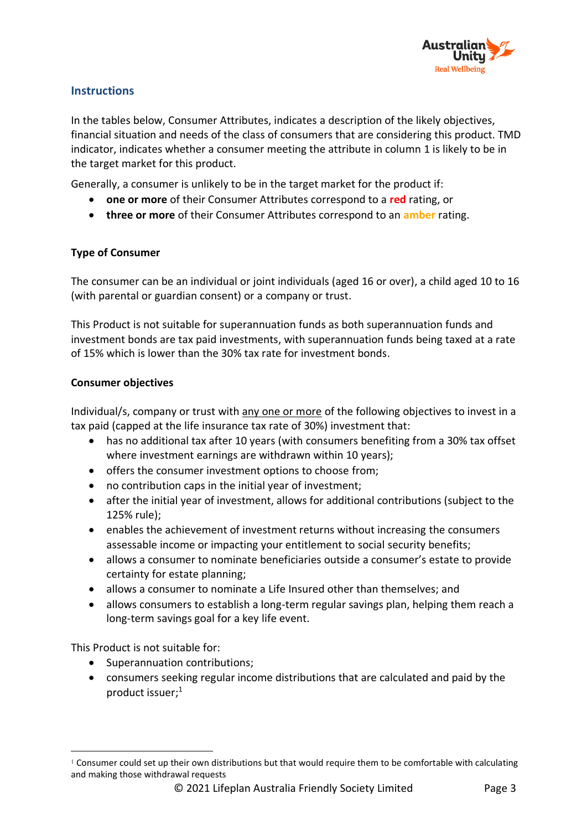

#### **Instructions**

In the tables below, Consumer Attributes, indicates a description of the likely objectives, financial situation and needs of the class of consumers that are considering this product. TMD indicator, indicates whether a consumer meeting the attribute in column 1 is likely to be in the target market for this product.

Generally, a consumer is unlikely to be in the target market for the product if:

- **one or more** of their Consumer Attributes correspond to a **red** rating, or
- **three or more** of their Consumer Attributes correspond to an **amber** rating.

#### **Type of Consumer**

The consumer can be an individual or joint individuals (aged 16 or over), a child aged 10 to 16 (with parental or guardian consent) or a company or trust.

This Product is not suitable for superannuation funds as both superannuation funds and investment bonds are tax paid investments, with superannuation funds being taxed at a rate of 15% which is lower than the 30% tax rate for investment bonds.

#### **Consumer objectives**

Individual/s, company or trust with any one or more of the following objectives to invest in a tax paid (capped at the life insurance tax rate of 30%) investment that:

- has no additional tax after 10 years (with consumers benefiting from a 30% tax offset where investment earnings are withdrawn within 10 years);
- offers the consumer investment options to choose from;
- no contribution caps in the initial year of investment;
- after the initial year of investment, allows for additional contributions (subject to the 125% rule);
- enables the achievement of investment returns without increasing the consumers assessable income or impacting your entitlement to social security benefits;
- allows a consumer to nominate beneficiaries outside a consumer's estate to provide certainty for estate planning;
- allows a consumer to nominate a Life Insured other than themselves; and
- allows consumers to establish a long-term regular savings plan, helping them reach a long-term savings goal for a key life event.

This Product is not suitable for:

- Superannuation contributions;
- consumers seeking regular income distributions that are calculated and paid by the product issuer; 1

<sup>1</sup> Consumer could set up their own distributions but that would require them to be comfortable with calculating and making those withdrawal requests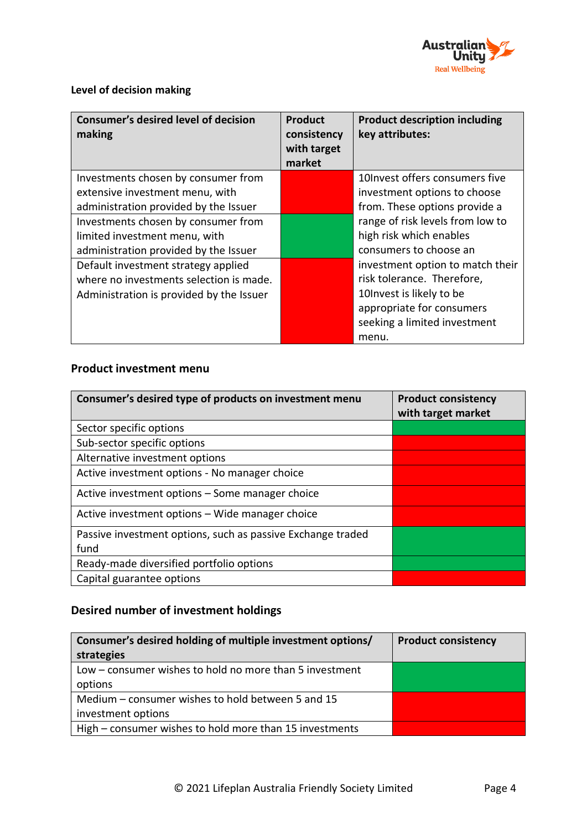

### **Level of decision making**

| <b>Consumer's desired level of decision</b><br>making | <b>Product</b><br>consistency<br>with target<br>market | <b>Product description including</b><br>key attributes: |
|-------------------------------------------------------|--------------------------------------------------------|---------------------------------------------------------|
| Investments chosen by consumer from                   |                                                        | 10 Invest offers consumers five                         |
| extensive investment menu, with                       |                                                        | investment options to choose                            |
| administration provided by the Issuer                 |                                                        | from. These options provide a                           |
| Investments chosen by consumer from                   |                                                        | range of risk levels from low to                        |
| limited investment menu, with                         |                                                        | high risk which enables                                 |
| administration provided by the Issuer                 |                                                        | consumers to choose an                                  |
| Default investment strategy applied                   |                                                        | investment option to match their                        |
| where no investments selection is made.               |                                                        | risk tolerance. Therefore,                              |
| Administration is provided by the Issuer              |                                                        | 10 Invest is likely to be                               |
|                                                       |                                                        | appropriate for consumers                               |
|                                                       |                                                        | seeking a limited investment                            |
|                                                       |                                                        | menu.                                                   |

### **Product investment menu**

| Consumer's desired type of products on investment menu      | <b>Product consistency</b><br>with target market |
|-------------------------------------------------------------|--------------------------------------------------|
| Sector specific options                                     |                                                  |
| Sub-sector specific options                                 |                                                  |
| Alternative investment options                              |                                                  |
| Active investment options - No manager choice               |                                                  |
| Active investment options – Some manager choice             |                                                  |
| Active investment options - Wide manager choice             |                                                  |
| Passive investment options, such as passive Exchange traded |                                                  |
| fund                                                        |                                                  |
| Ready-made diversified portfolio options                    |                                                  |
| Capital guarantee options                                   |                                                  |

### **Desired number of investment holdings**

| Consumer's desired holding of multiple investment options/<br>strategies | <b>Product consistency</b> |
|--------------------------------------------------------------------------|----------------------------|
| Low – consumer wishes to hold no more than 5 investment                  |                            |
|                                                                          |                            |
| options                                                                  |                            |
| Medium – consumer wishes to hold between 5 and 15                        |                            |
| investment options                                                       |                            |
| High - consumer wishes to hold more than 15 investments                  |                            |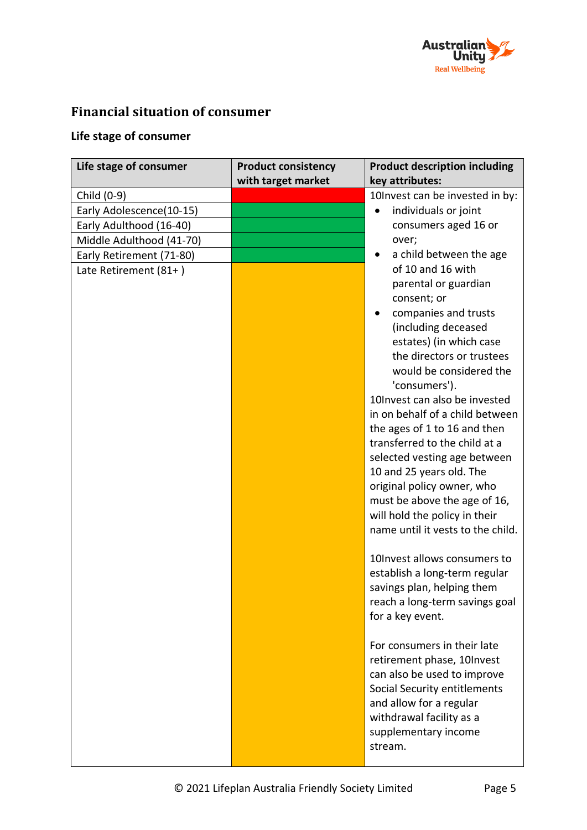

# **Financial situation of consumer**

### **Life stage of consumer**

| Life stage of consumer   | <b>Product consistency</b><br>with target market | <b>Product description including</b><br>key attributes:         |
|--------------------------|--------------------------------------------------|-----------------------------------------------------------------|
| Child (0-9)              |                                                  | 10Invest can be invested in by:                                 |
| Early Adolescence(10-15) |                                                  | individuals or joint                                            |
| Early Adulthood (16-40)  |                                                  | consumers aged 16 or                                            |
| Middle Adulthood (41-70) |                                                  | over;                                                           |
| Early Retirement (71-80) |                                                  | a child between the age                                         |
| Late Retirement (81+)    |                                                  | of 10 and 16 with<br>parental or guardian                       |
|                          |                                                  | consent; or                                                     |
|                          |                                                  | companies and trusts<br>(including deceased                     |
|                          |                                                  | estates) (in which case<br>the directors or trustees            |
|                          |                                                  | would be considered the<br>'consumers').                        |
|                          |                                                  | 10Invest can also be invested                                   |
|                          |                                                  | in on behalf of a child between<br>the ages of 1 to 16 and then |
|                          |                                                  | transferred to the child at a                                   |
|                          |                                                  | selected vesting age between                                    |
|                          |                                                  | 10 and 25 years old. The                                        |
|                          |                                                  | original policy owner, who                                      |
|                          |                                                  | must be above the age of 16,                                    |
|                          |                                                  | will hold the policy in their                                   |
|                          |                                                  | name until it vests to the child.                               |
|                          |                                                  | 10Invest allows consumers to                                    |
|                          |                                                  | establish a long-term regular                                   |
|                          |                                                  | savings plan, helping them                                      |
|                          |                                                  | reach a long-term savings goal<br>for a key event.              |
|                          |                                                  | For consumers in their late                                     |
|                          |                                                  | retirement phase, 10Invest<br>can also be used to improve       |
|                          |                                                  | Social Security entitlements<br>and allow for a regular         |
|                          |                                                  | withdrawal facility as a                                        |
|                          |                                                  | supplementary income<br>stream.                                 |
|                          |                                                  |                                                                 |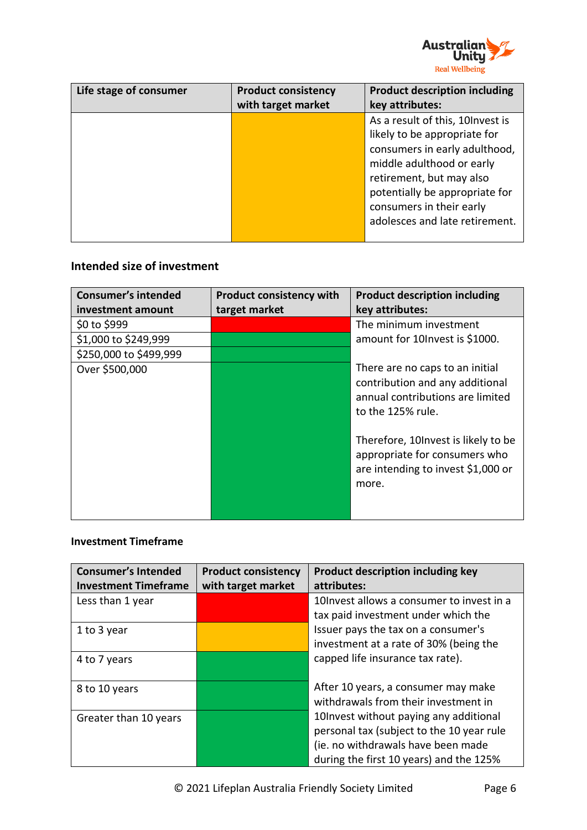

| Life stage of consumer | <b>Product consistency</b> | <b>Product description including</b>                                                                                                                                                                                                                        |
|------------------------|----------------------------|-------------------------------------------------------------------------------------------------------------------------------------------------------------------------------------------------------------------------------------------------------------|
|                        | with target market         | key attributes:                                                                                                                                                                                                                                             |
|                        |                            | As a result of this, 10 Invest is<br>likely to be appropriate for<br>consumers in early adulthood,<br>middle adulthood or early<br>retirement, but may also<br>potentially be appropriate for<br>consumers in their early<br>adolesces and late retirement. |

### **Intended size of investment**

| <b>Consumer's intended</b> | <b>Product consistency with</b> | <b>Product description including</b>                                                                                        |
|----------------------------|---------------------------------|-----------------------------------------------------------------------------------------------------------------------------|
| investment amount          | target market                   | key attributes:                                                                                                             |
| \$0 to \$999               |                                 | The minimum investment                                                                                                      |
| \$1,000 to \$249,999       |                                 | amount for 10 lnvest is \$1000.                                                                                             |
| \$250,000 to \$499,999     |                                 |                                                                                                                             |
| Over \$500,000             |                                 | There are no caps to an initial<br>contribution and any additional<br>annual contributions are limited<br>to the 125% rule. |
|                            |                                 | Therefore, 10 Invest is likely to be<br>appropriate for consumers who<br>are intending to invest \$1,000 or<br>more.        |

#### **Investment Timeframe**

| <b>Consumer's Intended</b><br><b>Investment Timeframe</b> | <b>Product consistency</b><br>with target market | <b>Product description including key</b><br>attributes:                                                                    |
|-----------------------------------------------------------|--------------------------------------------------|----------------------------------------------------------------------------------------------------------------------------|
| Less than 1 year                                          |                                                  | 10 Invest allows a consumer to invest in a<br>tax paid investment under which the                                          |
| 1 to 3 year                                               |                                                  | Issuer pays the tax on a consumer's<br>investment at a rate of 30% (being the                                              |
| 4 to 7 years                                              |                                                  | capped life insurance tax rate).                                                                                           |
| 8 to 10 years                                             |                                                  | After 10 years, a consumer may make<br>withdrawals from their investment in                                                |
| Greater than 10 years                                     |                                                  | 10 Invest without paying any additional<br>personal tax (subject to the 10 year rule<br>(ie. no withdrawals have been made |
|                                                           |                                                  | during the first 10 years) and the 125%                                                                                    |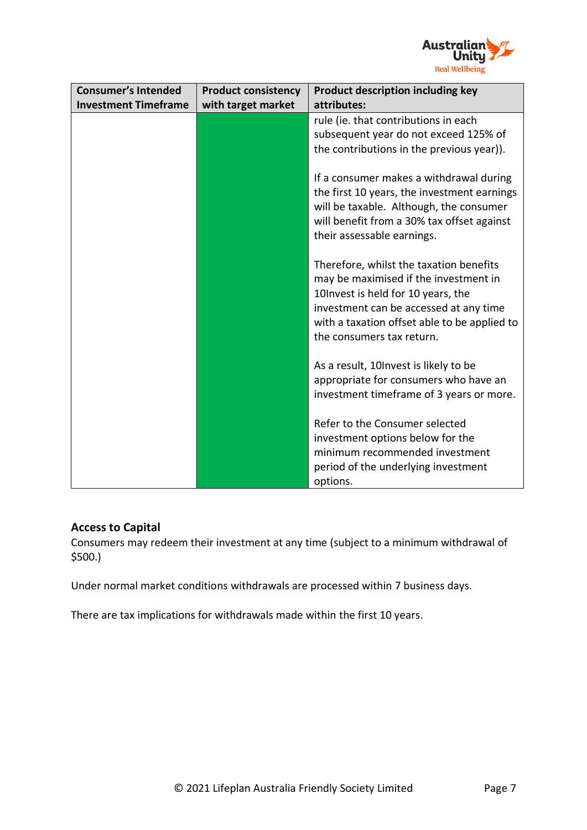

| <b>Consumer's Intended</b>  | <b>Product consistency</b> | Product description including key                                                                                                                                                                                                              |
|-----------------------------|----------------------------|------------------------------------------------------------------------------------------------------------------------------------------------------------------------------------------------------------------------------------------------|
| <b>Investment Timeframe</b> | with target market         | attributes:                                                                                                                                                                                                                                    |
|                             |                            | rule (ie. that contributions in each<br>subsequent year do not exceed 125% of<br>the contributions in the previous year)).                                                                                                                     |
|                             |                            | If a consumer makes a withdrawal during<br>the first 10 years, the investment earnings<br>will be taxable. Although, the consumer<br>will benefit from a 30% tax offset against<br>their assessable earnings.                                  |
|                             |                            | Therefore, whilst the taxation benefits<br>may be maximised if the investment in<br>10 Invest is held for 10 years, the<br>investment can be accessed at any time<br>with a taxation offset able to be applied to<br>the consumers tax return. |
|                             |                            | As a result, 10 Invest is likely to be<br>appropriate for consumers who have an<br>investment timeframe of 3 years or more.                                                                                                                    |
|                             |                            | Refer to the Consumer selected<br>investment options below for the<br>minimum recommended investment<br>period of the underlying investment<br>options.                                                                                        |

### **Access to Capital**

Consumers may redeem their investment at any time (subject to a minimum withdrawal of \$500.)

Under normal market conditions withdrawals are processed within 7 business days.

There are tax implications for withdrawals made within the first 10 years.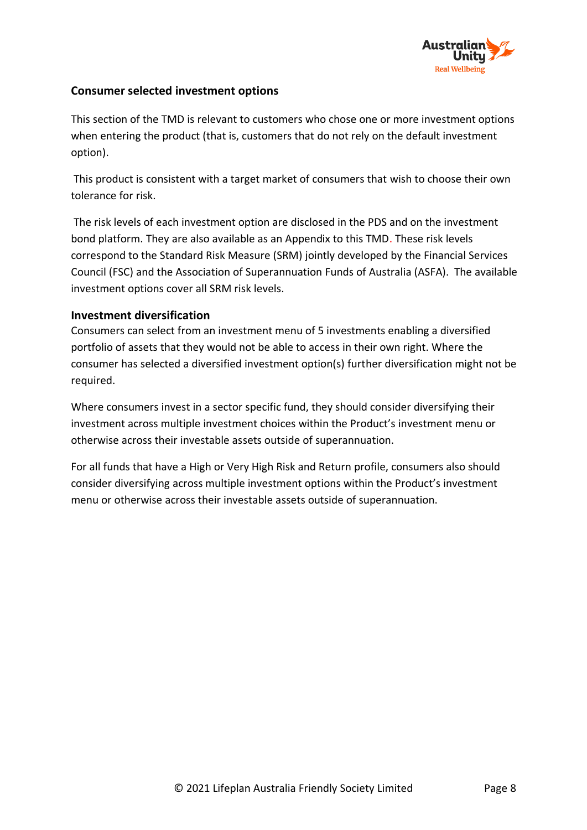

### **Consumer selected investment options**

This section of the TMD is relevant to customers who chose one or more investment options when entering the product (that is, customers that do not rely on the default investment option).

This product is consistent with a target market of consumers that wish to choose their own tolerance for risk.

The risk levels of each investment option are disclosed in the PDS and on the investment bond platform. They are also available as an Appendix to this TMD. These risk levels correspond to the Standard Risk Measure (SRM) jointly developed by the Financial Services Council (FSC) and the Association of Superannuation Funds of Australia (ASFA). The available investment options cover all SRM risk levels.

#### **Investment diversification**

Consumers can select from an investment menu of 5 investments enabling a diversified portfolio of assets that they would not be able to access in their own right. Where the consumer has selected a diversified investment option(s) further diversification might not be required.

Where consumers invest in a sector specific fund, they should consider diversifying their investment across multiple investment choices within the Product's investment menu or otherwise across their investable assets outside of superannuation.

For all funds that have a High or Very High Risk and Return profile, consumers also should consider diversifying across multiple investment options within the Product's investment menu or otherwise across their investable assets outside of superannuation.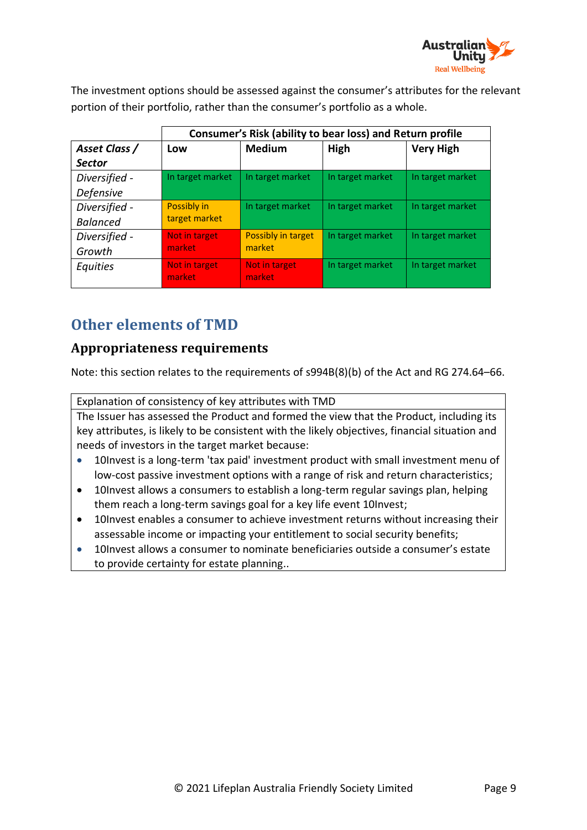

The investment options should be assessed against the consumer's attributes for the relevant portion of their portfolio, rather than the consumer's portfolio as a whole.

| Consumer's Risk (ability to bear loss) and Return profile |                         |                  |                  |
|-----------------------------------------------------------|-------------------------|------------------|------------------|
| Low                                                       | <b>Medium</b>           | High             | <b>Very High</b> |
|                                                           |                         |                  |                  |
| In target market                                          | In target market        | In target market | In target market |
|                                                           |                         |                  |                  |
| Possibly in                                               | In target market        | In target market | In target market |
|                                                           |                         |                  |                  |
| Not in target                                             | Possibly in target      | In target market | In target market |
|                                                           |                         |                  |                  |
| Not in target<br>market                                   | Not in target<br>market | In target market | In target market |
|                                                           | target market<br>market | market           |                  |

# **Other elements of TMD**

# **Appropriateness requirements**

Note: this section relates to the requirements of s994B(8)(b) of the Act and RG 274.64–66.

Explanation of consistency of key attributes with TMD

The Issuer has assessed the Product and formed the view that the Product, including its key attributes, is likely to be consistent with the likely objectives, financial situation and needs of investors in the target market because:

- 10Invest is a long-term 'tax paid' investment product with small investment menu of low-cost passive investment options with a range of risk and return characteristics;
- 10Invest allows a consumers to establish a long-term regular savings plan, helping them reach a long-term savings goal for a key life event 10Invest;
- 10Invest enables a consumer to achieve investment returns without increasing their assessable income or impacting your entitlement to social security benefits;
- 10Invest allows a consumer to nominate beneficiaries outside a consumer's estate to provide certainty for estate planning..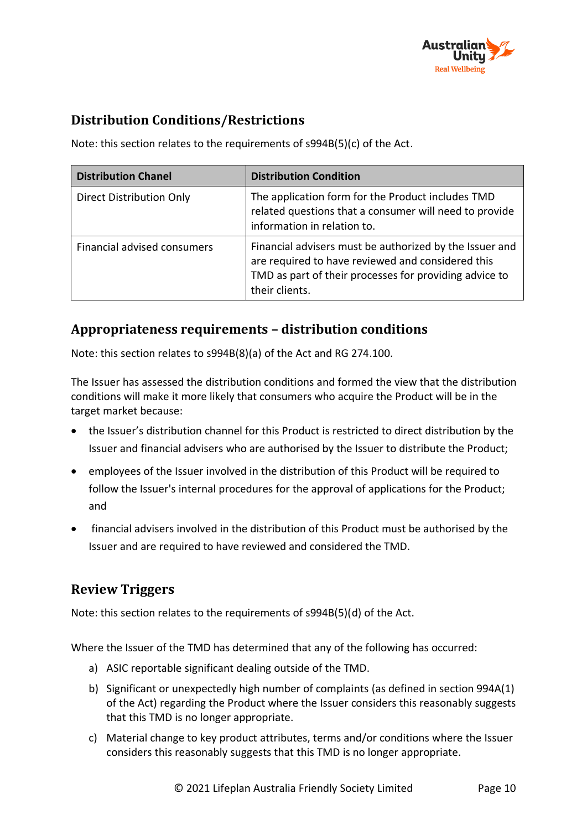

# **Distribution Conditions/Restrictions**

Note: this section relates to the requirements of s994B(5)(c) of the Act.

| <b>Distribution Chanel</b>  | <b>Distribution Condition</b>                                                                                                                                                            |
|-----------------------------|------------------------------------------------------------------------------------------------------------------------------------------------------------------------------------------|
| Direct Distribution Only    | The application form for the Product includes TMD<br>related questions that a consumer will need to provide<br>information in relation to.                                               |
| Financial advised consumers | Financial advisers must be authorized by the Issuer and<br>are required to have reviewed and considered this<br>TMD as part of their processes for providing advice to<br>their clients. |

### **Appropriateness requirements – distribution conditions**

Note: this section relates to s994B(8)(a) of the Act and RG 274.100.

The Issuer has assessed the distribution conditions and formed the view that the distribution conditions will make it more likely that consumers who acquire the Product will be in the target market because:

- the Issuer's distribution channel for this Product is restricted to direct distribution by the Issuer and financial advisers who are authorised by the Issuer to distribute the Product;
- employees of the Issuer involved in the distribution of this Product will be required to follow the Issuer's internal procedures for the approval of applications for the Product; and
- financial advisers involved in the distribution of this Product must be authorised by the Issuer and are required to have reviewed and considered the TMD.

# **Review Triggers**

Note: this section relates to the requirements of s994B(5)(d) of the Act.

Where the Issuer of the TMD has determined that any of the following has occurred:

- a) ASIC reportable significant dealing outside of the TMD.
- b) Significant or unexpectedly high number of complaints (as defined in section 994A(1) of the Act) regarding the Product where the Issuer considers this reasonably suggests that this TMD is no longer appropriate.
- c) Material change to key product attributes, terms and/or conditions where the Issuer considers this reasonably suggests that this TMD is no longer appropriate.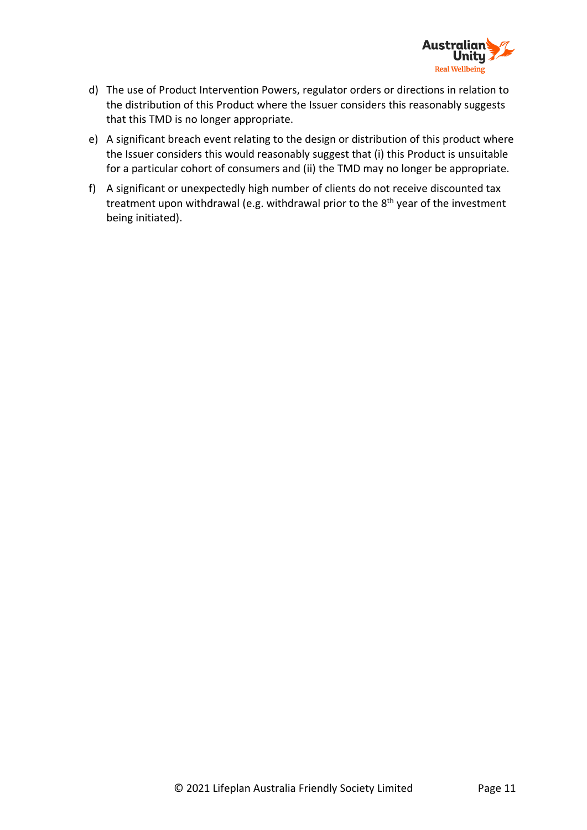

- d) The use of Product Intervention Powers, regulator orders or directions in relation to the distribution of this Product where the Issuer considers this reasonably suggests that this TMD is no longer appropriate.
- e) A significant breach event relating to the design or distribution of this product where the Issuer considers this would reasonably suggest that (i) this Product is unsuitable for a particular cohort of consumers and (ii) the TMD may no longer be appropriate.
- f) A significant or unexpectedly high number of clients do not receive discounted tax treatment upon withdrawal (e.g. withdrawal prior to the 8<sup>th</sup> year of the investment being initiated).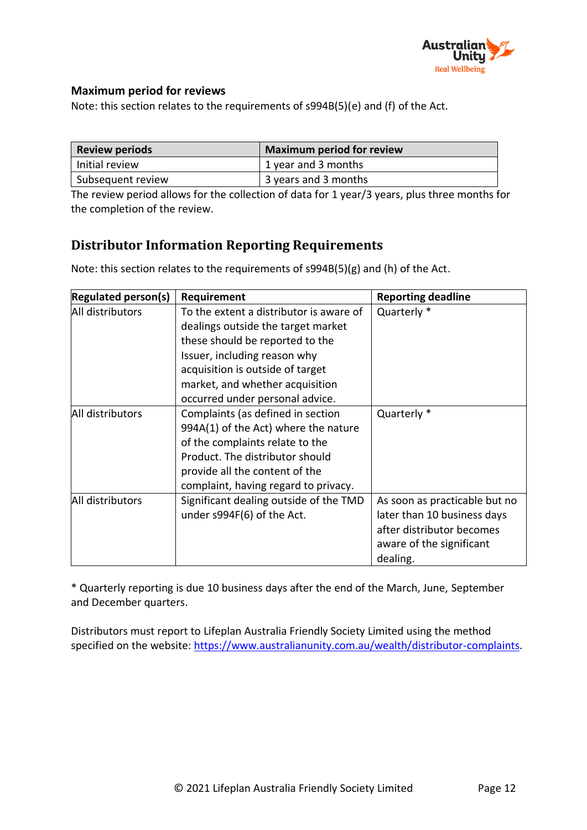

### **Maximum period for reviews**

Note: this section relates to the requirements of s994B(5)(e) and (f) of the Act.

| <b>Review periods</b> | <b>Maximum period for review</b> |
|-----------------------|----------------------------------|
| Initial review        | 1 year and 3 months              |
| Subsequent review     | 3 years and 3 months             |

The review period allows for the collection of data for 1 year/3 years, plus three months for the completion of the review.

## **Distributor Information Reporting Requirements**

**Regulated person(s) Requirement Reporting deadline** All distributors  $\Box$  To the extent a distributor is aware of dealings outside the target market these should be reported to the Issuer, including reason why acquisition is outside of target market, and whether acquisition occurred under personal advice. Quarterly \* All distributors  $\vert$  Complaints (as defined in section 994A(1) of the Act) where the nature of the complaints relate to the Product. The distributor should provide all the content of the complaint, having regard to privacy. Quarterly \* All distributors  $\vert$  Significant dealing outside of the TMD under s994F(6) of the Act. As soon as practicable but no later than 10 business days after distributor becomes aware of the significant dealing.

Note: this section relates to the requirements of s994B(5)(g) and (h) of the Act.

\* Quarterly reporting is due 10 business days after the end of the March, June, September and December quarters.

Distributors must report to Lifeplan Australia Friendly Society Limited using the method specified on the website: [https://www.australianunity.com.au/wealth/distributor-complaints.](https://www.australianunity.com.au/wealth/distributor-complaints)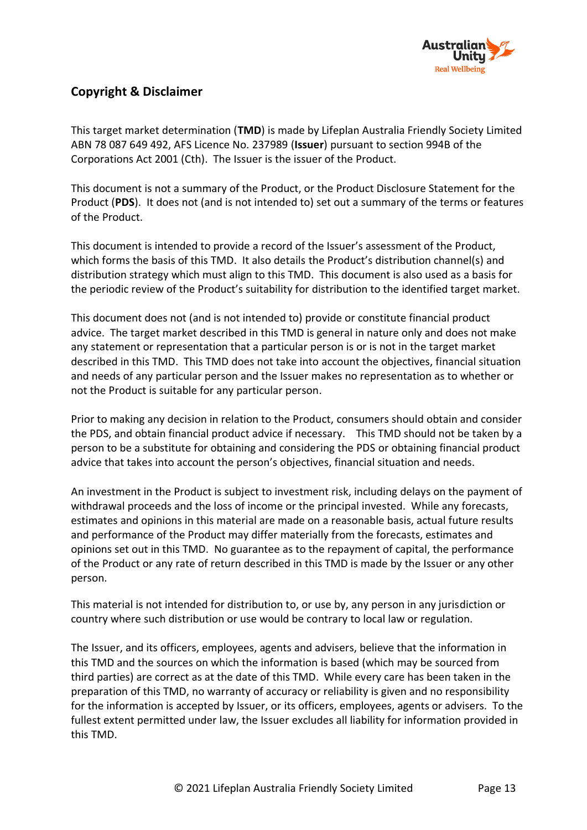

### **Copyright & Disclaimer**

This target market determination (**TMD**) is made by Lifeplan Australia Friendly Society Limited ABN 78 087 649 492, AFS Licence No. 237989 (**Issuer**) pursuant to section 994B of the Corporations Act 2001 (Cth). The Issuer is the issuer of the Product.

This document is not a summary of the Product, or the Product Disclosure Statement for the Product (**PDS**). It does not (and is not intended to) set out a summary of the terms or features of the Product.

This document is intended to provide a record of the Issuer's assessment of the Product, which forms the basis of this TMD. It also details the Product's distribution channel(s) and distribution strategy which must align to this TMD. This document is also used as a basis for the periodic review of the Product's suitability for distribution to the identified target market.

This document does not (and is not intended to) provide or constitute financial product advice. The target market described in this TMD is general in nature only and does not make any statement or representation that a particular person is or is not in the target market described in this TMD. This TMD does not take into account the objectives, financial situation and needs of any particular person and the Issuer makes no representation as to whether or not the Product is suitable for any particular person.

Prior to making any decision in relation to the Product, consumers should obtain and consider the PDS, and obtain financial product advice if necessary. This TMD should not be taken by a person to be a substitute for obtaining and considering the PDS or obtaining financial product advice that takes into account the person's objectives, financial situation and needs.

An investment in the Product is subject to investment risk, including delays on the payment of withdrawal proceeds and the loss of income or the principal invested. While any forecasts, estimates and opinions in this material are made on a reasonable basis, actual future results and performance of the Product may differ materially from the forecasts, estimates and opinions set out in this TMD. No guarantee as to the repayment of capital, the performance of the Product or any rate of return described in this TMD is made by the Issuer or any other person.

This material is not intended for distribution to, or use by, any person in any jurisdiction or country where such distribution or use would be contrary to local law or regulation.

The Issuer, and its officers, employees, agents and advisers, believe that the information in this TMD and the sources on which the information is based (which may be sourced from third parties) are correct as at the date of this TMD. While every care has been taken in the preparation of this TMD, no warranty of accuracy or reliability is given and no responsibility for the information is accepted by Issuer, or its officers, employees, agents or advisers. To the fullest extent permitted under law, the Issuer excludes all liability for information provided in this TMD.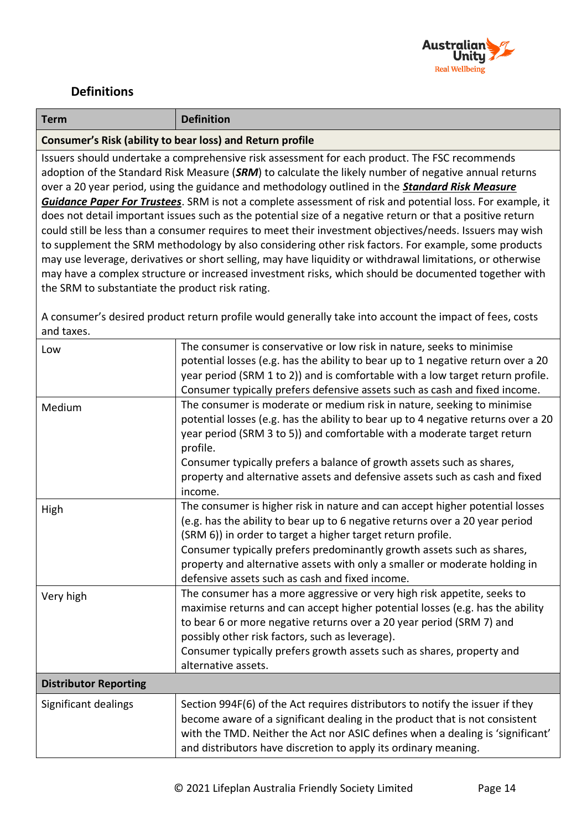

# **Definitions**

| <b>Term</b>                                                                                                                                                                                                                                                                                                                                                                                                                                                                                                                                                                                                                                                                                                                                                                                                                                                                                                                                                                                                                                       | <b>Definition</b>                                                                                                                                                                                                                                                                                                                                                                                                                      |  |
|---------------------------------------------------------------------------------------------------------------------------------------------------------------------------------------------------------------------------------------------------------------------------------------------------------------------------------------------------------------------------------------------------------------------------------------------------------------------------------------------------------------------------------------------------------------------------------------------------------------------------------------------------------------------------------------------------------------------------------------------------------------------------------------------------------------------------------------------------------------------------------------------------------------------------------------------------------------------------------------------------------------------------------------------------|----------------------------------------------------------------------------------------------------------------------------------------------------------------------------------------------------------------------------------------------------------------------------------------------------------------------------------------------------------------------------------------------------------------------------------------|--|
| Consumer's Risk (ability to bear loss) and Return profile                                                                                                                                                                                                                                                                                                                                                                                                                                                                                                                                                                                                                                                                                                                                                                                                                                                                                                                                                                                         |                                                                                                                                                                                                                                                                                                                                                                                                                                        |  |
| Issuers should undertake a comprehensive risk assessment for each product. The FSC recommends<br>adoption of the Standard Risk Measure (SRM) to calculate the likely number of negative annual returns<br>over a 20 year period, using the guidance and methodology outlined in the <b>Standard Risk Measure</b><br><b>Guidance Paper For Trustees</b> . SRM is not a complete assessment of risk and potential loss. For example, it<br>does not detail important issues such as the potential size of a negative return or that a positive return<br>could still be less than a consumer requires to meet their investment objectives/needs. Issuers may wish<br>to supplement the SRM methodology by also considering other risk factors. For example, some products<br>may use leverage, derivatives or short selling, may have liquidity or withdrawal limitations, or otherwise<br>may have a complex structure or increased investment risks, which should be documented together with<br>the SRM to substantiate the product risk rating. |                                                                                                                                                                                                                                                                                                                                                                                                                                        |  |
| A consumer's desired product return profile would generally take into account the impact of fees, costs<br>and taxes.                                                                                                                                                                                                                                                                                                                                                                                                                                                                                                                                                                                                                                                                                                                                                                                                                                                                                                                             |                                                                                                                                                                                                                                                                                                                                                                                                                                        |  |
| Low                                                                                                                                                                                                                                                                                                                                                                                                                                                                                                                                                                                                                                                                                                                                                                                                                                                                                                                                                                                                                                               | The consumer is conservative or low risk in nature, seeks to minimise<br>potential losses (e.g. has the ability to bear up to 1 negative return over a 20<br>year period (SRM 1 to 2)) and is comfortable with a low target return profile.<br>Consumer typically prefers defensive assets such as cash and fixed income.                                                                                                              |  |
| Medium                                                                                                                                                                                                                                                                                                                                                                                                                                                                                                                                                                                                                                                                                                                                                                                                                                                                                                                                                                                                                                            | The consumer is moderate or medium risk in nature, seeking to minimise<br>potential losses (e.g. has the ability to bear up to 4 negative returns over a 20<br>year period (SRM 3 to 5)) and comfortable with a moderate target return<br>profile.<br>Consumer typically prefers a balance of growth assets such as shares,<br>property and alternative assets and defensive assets such as cash and fixed<br>income.                  |  |
| High                                                                                                                                                                                                                                                                                                                                                                                                                                                                                                                                                                                                                                                                                                                                                                                                                                                                                                                                                                                                                                              | The consumer is higher risk in nature and can accept higher potential losses<br>(e.g. has the ability to bear up to 6 negative returns over a 20 year period<br>(SRM 6)) in order to target a higher target return profile.<br>Consumer typically prefers predominantly growth assets such as shares,<br>property and alternative assets with only a smaller or moderate holding in<br>defensive assets such as cash and fixed income. |  |
| Very high                                                                                                                                                                                                                                                                                                                                                                                                                                                                                                                                                                                                                                                                                                                                                                                                                                                                                                                                                                                                                                         | The consumer has a more aggressive or very high risk appetite, seeks to<br>maximise returns and can accept higher potential losses (e.g. has the ability<br>to bear 6 or more negative returns over a 20 year period (SRM 7) and<br>possibly other risk factors, such as leverage).<br>Consumer typically prefers growth assets such as shares, property and<br>alternative assets.                                                    |  |
| <b>Distributor Reporting</b>                                                                                                                                                                                                                                                                                                                                                                                                                                                                                                                                                                                                                                                                                                                                                                                                                                                                                                                                                                                                                      |                                                                                                                                                                                                                                                                                                                                                                                                                                        |  |
| Significant dealings                                                                                                                                                                                                                                                                                                                                                                                                                                                                                                                                                                                                                                                                                                                                                                                                                                                                                                                                                                                                                              | Section 994F(6) of the Act requires distributors to notify the issuer if they<br>become aware of a significant dealing in the product that is not consistent<br>with the TMD. Neither the Act nor ASIC defines when a dealing is 'significant'<br>and distributors have discretion to apply its ordinary meaning.                                                                                                                      |  |